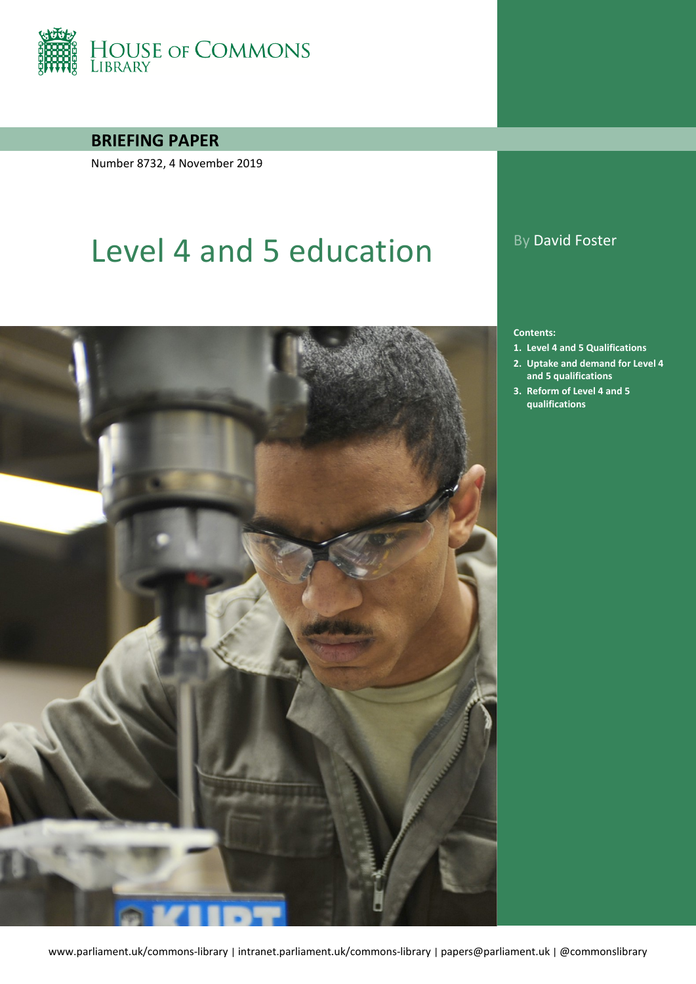

### **BRIEFING PAPER**

Number 8732, 4 November 2019

# Level 4 and 5 education By David Foster



#### **Contents:**

- **1. [Level 4 and 5 Qualifications](#page-4-0)**
- **2. [Uptake and demand for Level 4](#page-9-0)  [and 5 qualifications](#page-9-0)**
- **3. [Reform of Level 4 and 5](#page-13-0)  [qualifications](#page-13-0)**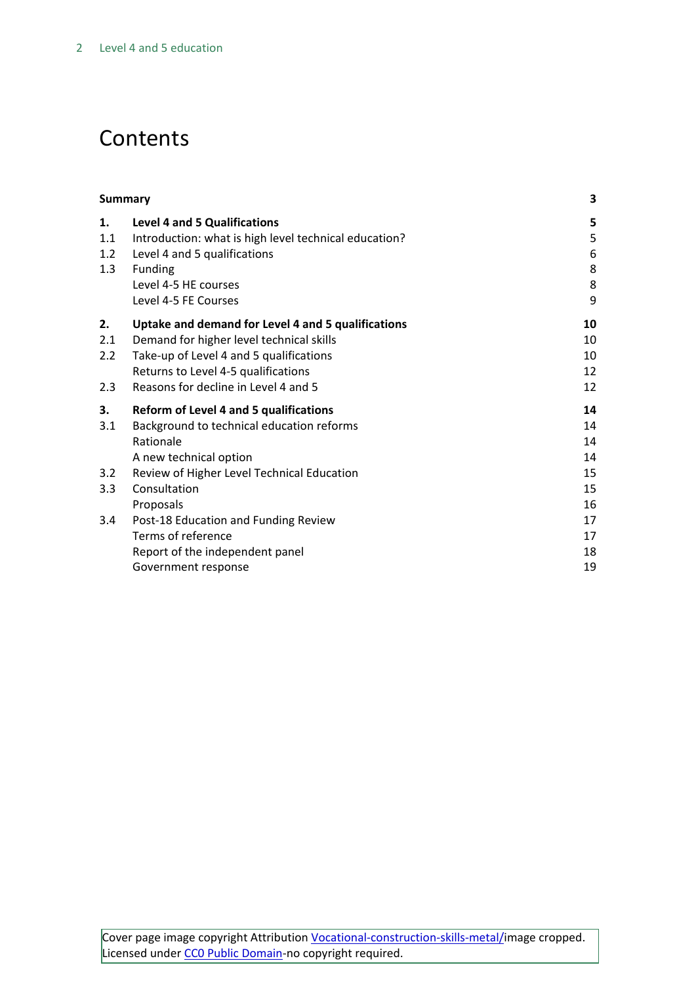# **Contents**

| <b>Summary</b> |                                                       | 3  |
|----------------|-------------------------------------------------------|----|
| 1.             | <b>Level 4 and 5 Qualifications</b>                   | 5  |
| 1.1            | Introduction: what is high level technical education? | 5  |
| 1.2            | Level 4 and 5 qualifications                          | 6  |
| 1.3            | Funding                                               | 8  |
|                | Level 4-5 HE courses                                  | 8  |
|                | Level 4-5 FE Courses                                  | 9  |
| 2.             | Uptake and demand for Level 4 and 5 qualifications    | 10 |
| 2.1            | Demand for higher level technical skills              | 10 |
| 2.2            | Take-up of Level 4 and 5 qualifications               | 10 |
|                | Returns to Level 4-5 qualifications                   | 12 |
| 2.3            | Reasons for decline in Level 4 and 5                  | 12 |
| 3.             | <b>Reform of Level 4 and 5 qualifications</b>         | 14 |
| 3.1            | Background to technical education reforms             | 14 |
|                | Rationale                                             | 14 |
|                | A new technical option                                | 14 |
| 3.2            | Review of Higher Level Technical Education            | 15 |
| 3.3            | Consultation                                          | 15 |
|                | Proposals                                             | 16 |
| 3.4            | Post-18 Education and Funding Review                  | 17 |
|                | Terms of reference                                    | 17 |
|                | Report of the independent panel                       | 18 |
|                | Government response                                   | 19 |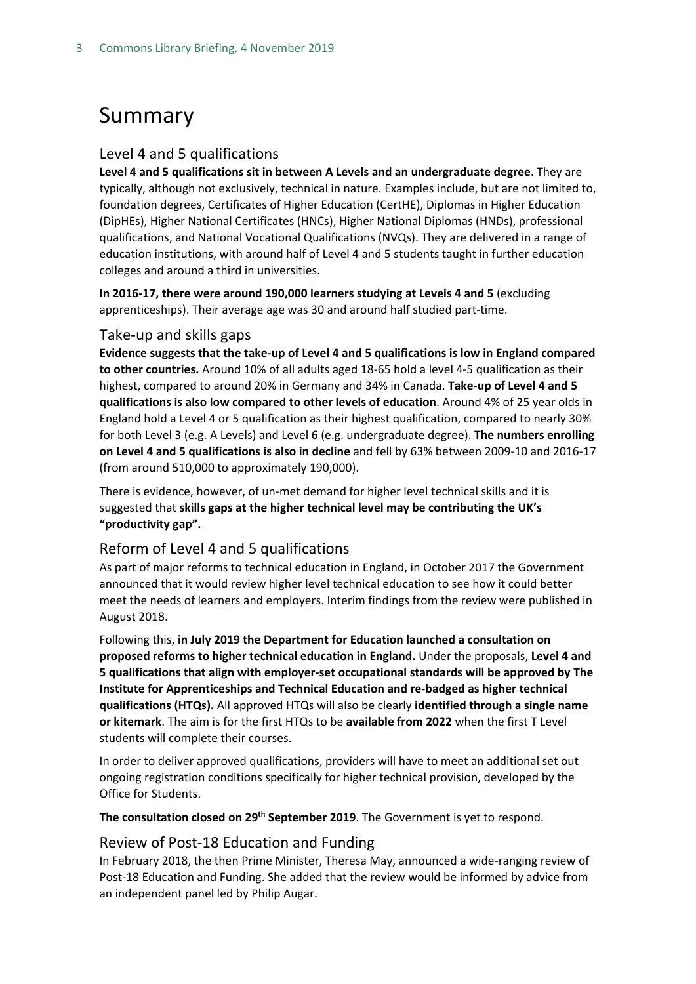# <span id="page-2-0"></span>Summary

### Level 4 and 5 qualifications

**Level 4 and 5 qualifications sit in between A Levels and an undergraduate degree**. They are typically, although not exclusively, technical in nature. Examples include, but are not limited to, foundation degrees, Certificates of Higher Education (CertHE), Diplomas in Higher Education (DipHEs), Higher National Certificates (HNCs), Higher National Diplomas (HNDs), professional qualifications, and National Vocational Qualifications (NVQs). They are delivered in a range of education institutions, with around half of Level 4 and 5 students taught in further education colleges and around a third in universities.

**In 2016-17, there were around 190,000 learners studying at Levels 4 and 5** (excluding apprenticeships). Their average age was 30 and around half studied part-time.

#### Take-up and skills gaps

**Evidence suggests that the take-up of Level 4 and 5 qualifications is low in England compared to other countries.** Around 10% of all adults aged 18-65 hold a level 4-5 qualification as their highest, compared to around 20% in Germany and 34% in Canada. **Take-up of Level 4 and 5 qualifications is also low compared to other levels of education**. Around 4% of 25 year olds in England hold a Level 4 or 5 qualification as their highest qualification, compared to nearly 30% for both Level 3 (e.g. A Levels) and Level 6 (e.g. undergraduate degree). **The numbers enrolling on Level 4 and 5 qualifications is also in decline** and fell by 63% between 2009-10 and 2016-17 (from around 510,000 to approximately 190,000).

There is evidence, however, of un-met demand for higher level technical skills and it is suggested that **skills gaps at the higher technical level may be contributing the UK's "productivity gap".**

### Reform of Level 4 and 5 qualifications

As part of major reforms to technical education in England, in October 2017 the Government announced that it would review higher level technical education to see how it could better meet the needs of learners and employers. Interim findings from the review were published in August 2018.

Following this, **in July 2019 the Department for Education launched a consultation on proposed reforms to higher technical education in England.** Under the proposals, **Level 4 and 5 qualifications that align with employer-set occupational standards will be approved by The Institute for Apprenticeships and Technical Education and re-badged as higher technical qualifications (HTQs).** All approved HTQs will also be clearly **identified through a single name or kitemark**. The aim is for the first HTQs to be **available from 2022** when the first T Level students will complete their courses.

In order to deliver approved qualifications, providers will have to meet an additional set out ongoing registration conditions specifically for higher technical provision, developed by the Office for Students.

**The consultation closed on 29th September 2019**. The Government is yet to respond.

### Review of Post-18 Education and Funding

In February 2018, the then Prime Minister, Theresa May, announced a wide-ranging review of Post-18 Education and Funding. She added that the review would be informed by advice from an independent panel led by Philip Augar.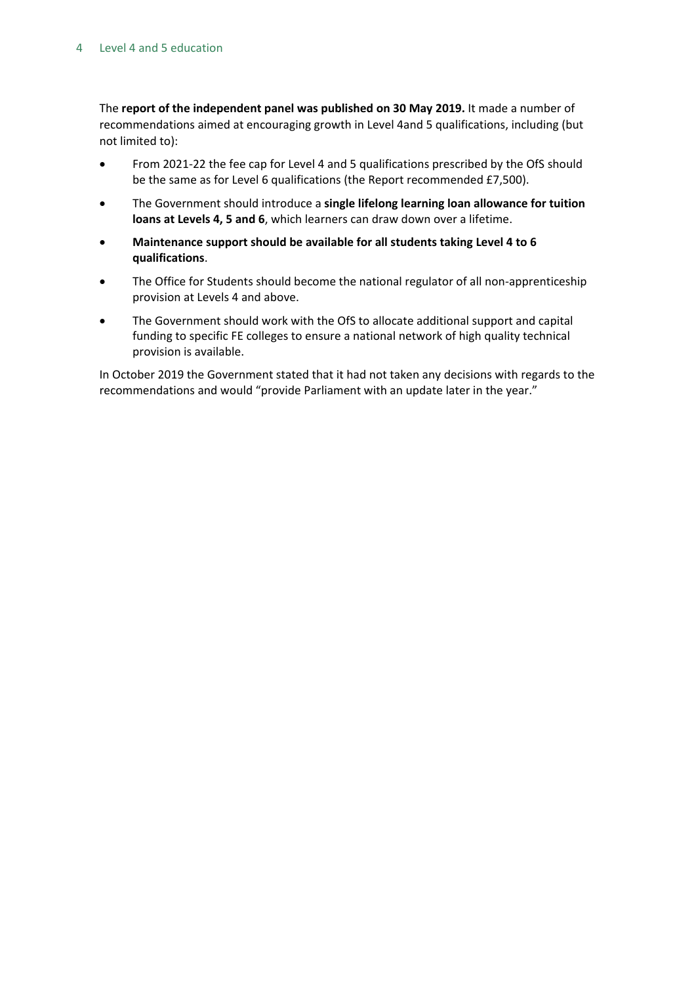The **report of the independent panel was published on 30 May 2019.** It made a number of recommendations aimed at encouraging growth in Level 4and 5 qualifications, including (but not limited to):

- From 2021-22 the fee cap for Level 4 and 5 qualifications prescribed by the OfS should be the same as for Level 6 qualifications (the Report recommended £7,500).
- The Government should introduce a **single lifelong learning loan allowance for tuition loans at Levels 4, 5 and 6**, which learners can draw down over a lifetime.
- **Maintenance support should be available for all students taking Level 4 to 6 qualifications**.
- The Office for Students should become the national regulator of all non-apprenticeship provision at Levels 4 and above.
- The Government should work with the OfS to allocate additional support and capital funding to specific FE colleges to ensure a national network of high quality technical provision is available.

In October 2019 the Government stated that it had not taken any decisions with regards to the recommendations and would "provide Parliament with an update later in the year."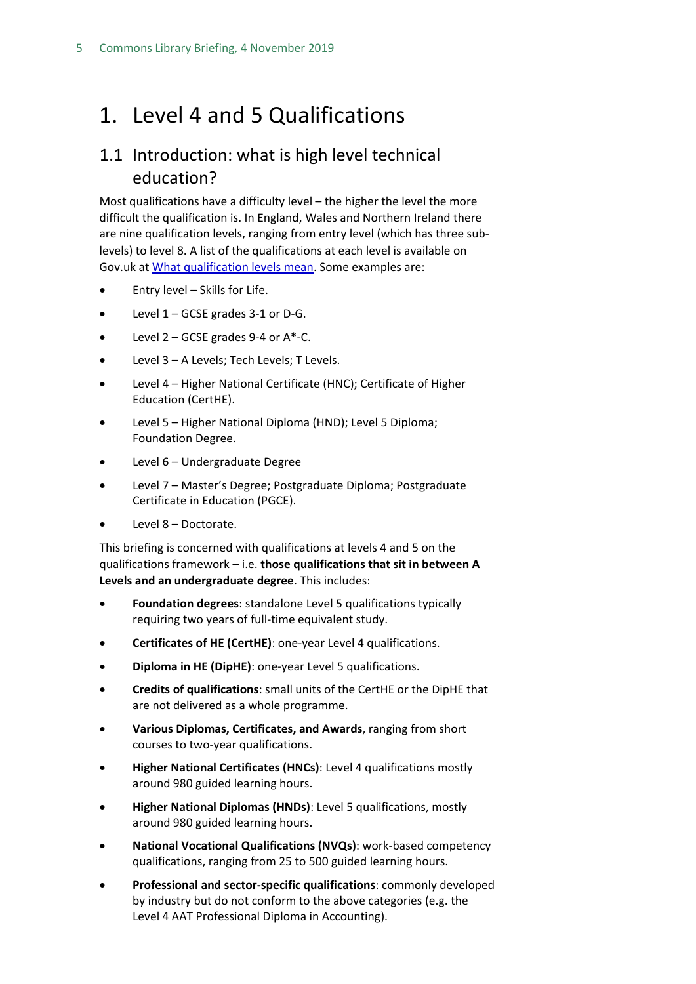# <span id="page-4-0"></span>1. Level 4 and 5 Qualifications

### <span id="page-4-1"></span>1.1 Introduction: what is high level technical education?

Most qualifications have a difficulty level – the higher the level the more difficult the qualification is. In England, Wales and Northern Ireland there are nine qualification levels, ranging from entry level (which has three sublevels) to level 8. A list of the qualifications at each level is available on Gov.uk at [What qualification levels mean.](https://www.gov.uk/what-different-qualification-levels-mean/list-of-qualification-levels) Some examples are:

- Entry level Skills for Life.
- Level 1 GCSE grades 3-1 or D-G.
- $\bullet$  Level 2 GCSE grades 9-4 or A\*-C.
- Level 3 A Levels; Tech Levels; T Levels.
- Level 4 Higher National Certificate (HNC); Certificate of Higher Education (CertHE).
- Level 5 Higher National Diploma (HND); Level 5 Diploma; Foundation Degree.
- Level 6 Undergraduate Degree
- Level 7 Master's Degree; Postgraduate Diploma; Postgraduate Certificate in Education (PGCE).
- Level 8 Doctorate.

This briefing is concerned with qualifications at levels 4 and 5 on the qualifications framework – i.e. **those qualifications that sit in between A Levels and an undergraduate degree**. This includes:

- **Foundation degrees**: standalone Level 5 qualifications typically requiring two years of full-time equivalent study.
- **Certificates of HE (CertHE)**: one-year Level 4 qualifications.
- **Diploma in HE (DipHE)**: one-year Level 5 qualifications.
- **Credits of qualifications**: small units of the CertHE or the DipHE that are not delivered as a whole programme.
- **Various Diplomas, Certificates, and Awards**, ranging from short courses to two-year qualifications.
- **Higher National Certificates (HNCs)**: Level 4 qualifications mostly around 980 guided learning hours.
- **Higher National Diplomas (HNDs)**: Level 5 qualifications, mostly around 980 guided learning hours.
- **National Vocational Qualifications (NVQs)**: work-based competency qualifications, ranging from 25 to 500 guided learning hours.
- **Professional and sector-specific qualifications**: commonly developed by industry but do not conform to the above categories (e.g. the Level 4 AAT Professional Diploma in Accounting).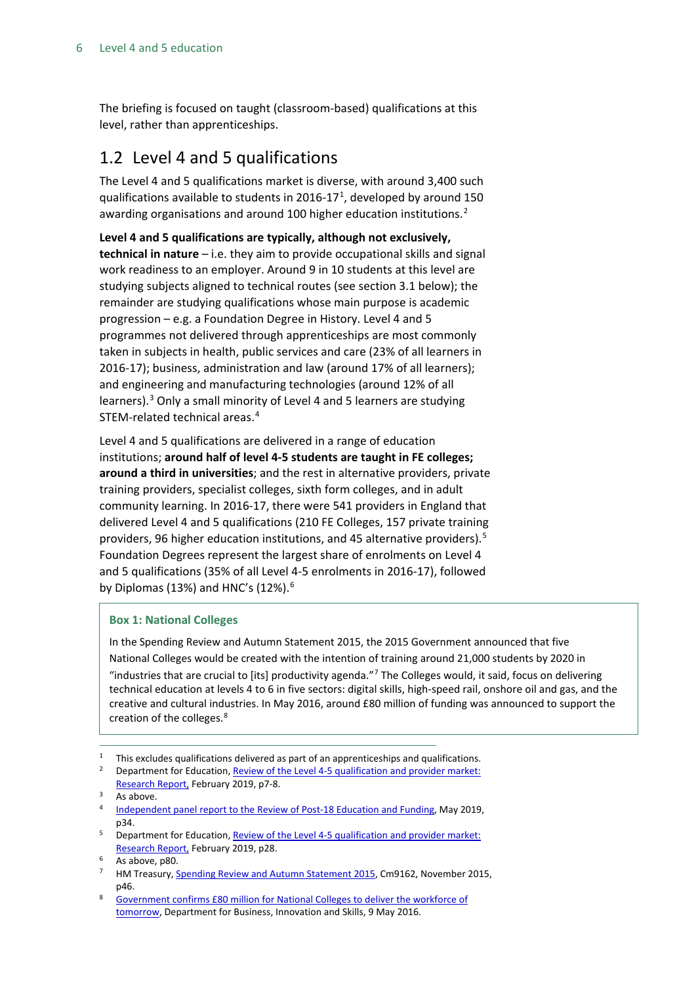The briefing is focused on taught (classroom-based) qualifications at this level, rather than apprenticeships.

### <span id="page-5-0"></span>1.2 Level 4 and 5 qualifications

The Level 4 and 5 qualifications market is diverse, with around 3,400 such qualifications available to students in 20[1](#page-5-1)6-17<sup>1</sup>, developed by around 150 awarding organisations and around 100 higher education institutions.<sup>[2](#page-5-2)</sup>

**Level 4 and 5 qualifications are typically, although not exclusively, technical in nature** – i.e. they aim to provide occupational skills and signal work readiness to an employer. Around 9 in 10 students at this level are studying subjects aligned to technical routes (see section 3.1 below); the remainder are studying qualifications whose main purpose is academic progression – e.g. a Foundation Degree in History. Level 4 and 5 programmes not delivered through apprenticeships are most commonly taken in subjects in health, public services and care (23% of all learners in 2016-17); business, administration and law (around 17% of all learners); and engineering and manufacturing technologies (around 12% of all learners).<sup>[3](#page-5-3)</sup> Only a small minority of Level 4 and 5 learners are studying STEM-related technical areas.[4](#page-5-4)

Level 4 and 5 qualifications are delivered in a range of education institutions; **around half of level 4-5 students are taught in FE colleges; around a third in universities**; and the rest in alternative providers, private training providers, specialist colleges, sixth form colleges, and in adult community learning. In 2016-17, there were 541 providers in England that delivered Level 4 and 5 qualifications (210 FE Colleges, 157 private training providers, 96 higher education institutions, and 4[5](#page-5-5) alternative providers).<sup>5</sup> Foundation Degrees represent the largest share of enrolments on Level 4 and 5 qualifications (35% of all Level 4-5 enrolments in 2016-17), followed by Diplomas (13%) and HNC's (12%). $6$ 

#### **Box 1: National Colleges**

In the Spending Review and Autumn Statement 2015, the 2015 Government announced that five National Colleges would be created with the intention of training around 21,000 students by 2020 in "industries that are crucial to [its] productivity agenda." $^7$  The Colleges would, it said, focus on delivering technical education at levels 4 to 6 in five sectors: digital skills, high-speed rail, onshore oil and gas, and the creative and cultural industries. In May 2016, around £80 million of funding was announced to support the creation of the colleges.[8](#page-5-8)

<span id="page-5-2"></span><sup>2</sup> Department for Education, **Review of the Level 4-5 qualification and provider market:** [Research Report,](https://assets.publishing.service.gov.uk/government/uploads/system/uploads/attachment_data/file/782160/L4-5_market_study.pdf) February 2019, p7-8.

<span id="page-5-1"></span><sup>&</sup>lt;sup>1</sup> This excludes qualifications delivered as part of an apprenticeships and qualifications.

<span id="page-5-4"></span><span id="page-5-3"></span> $3$  As above.

[Independent panel report to the Review of Post-18 Education and Funding,](https://assets.publishing.service.gov.uk/government/uploads/system/uploads/attachment_data/file/805127/Review_of_post_18_education_and_funding.pdf) May 2019, p34.

<span id="page-5-5"></span><sup>5</sup> Department for Education[, Review of the Level 4-5 qualification and provider market:](https://assets.publishing.service.gov.uk/government/uploads/system/uploads/attachment_data/file/782160/L4-5_market_study.pdf)  [Research Report,](https://assets.publishing.service.gov.uk/government/uploads/system/uploads/attachment_data/file/782160/L4-5_market_study.pdf) February 2019, p28.

<span id="page-5-6"></span>As above, p80.

<span id="page-5-7"></span>HM Treasury[, Spending Review and Autumn Statement 2015,](https://www.gov.uk/government/uploads/system/uploads/attachment_data/file/479749/52229_Blue_Book_PU1865_Web_Accessible.pdf) Cm9162, November 2015, p46.

<span id="page-5-8"></span><sup>8</sup> [Government confirms £80 million for National Colleges to deliver the workforce of](https://www.gov.uk/government/news/government-confirms-80-million-for-national-colleges-to-deliver-the-workforce-of-tomorrow) [tomorrow,](https://www.gov.uk/government/news/government-confirms-80-million-for-national-colleges-to-deliver-the-workforce-of-tomorrow) Department for Business, Innovation and Skills, 9 May 2016.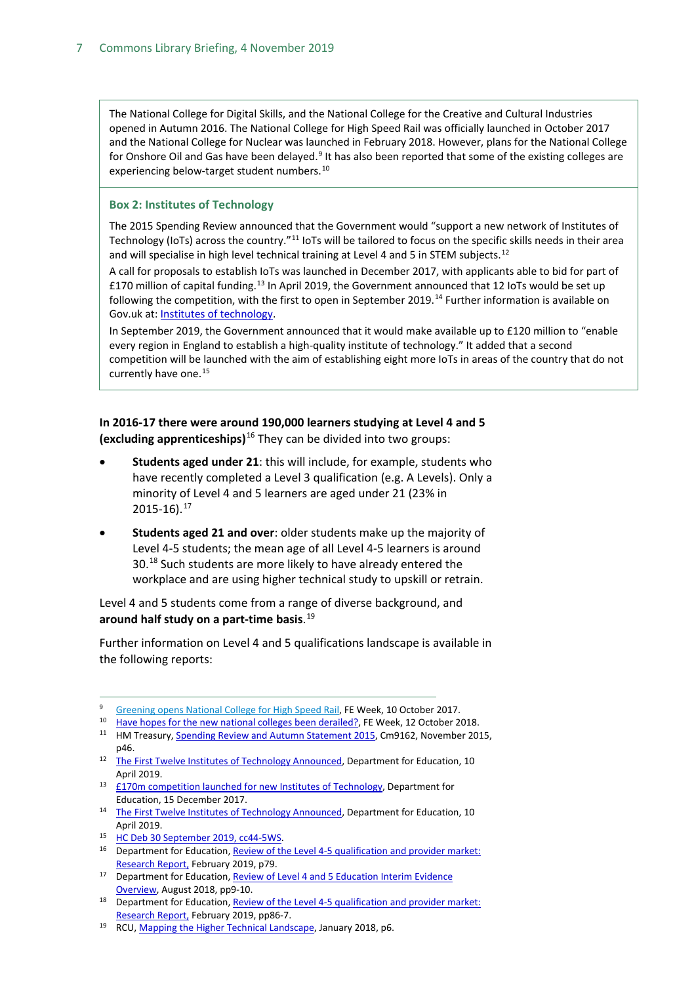The National College for Digital Skills, and the National College for the Creative and Cultural Industries opened in Autumn 2016. The National College for High Speed Rail was officially launched in October 2017 and the National College for Nuclear was launched in February 2018. However, plans for the National College for Onshore Oil and Gas have been delayed.<sup>[9](#page-6-0)</sup> It has also been reported that some of the existing colleges are experiencing below-target student numbers.<sup>[10](#page-6-1)</sup>

#### **Box 2: Institutes of Technology**

The 2015 Spending Review announced that the Government would "support a new network of Institutes of Technology (IoTs) across the country."[11](#page-6-2) IoTs will be tailored to focus on the specific skills needs in their area and will specialise in high level technical training at Level 4 and 5 in STEM subjects.<sup>[12](#page-6-3)</sup>

A call for proposals to establish IoTs was launched in December 2017, with applicants able to bid for part of £170 million of capital funding.[13](#page-6-4) In April 2019, the Government announced that 12 IoTs would be set up following the competition, with the first to open in September 2019.<sup>[14](#page-6-5)</sup> Further information is available on Gov.uk at[: Institutes of technology.](https://www.gov.uk/government/publications/institutes-of-technology--2)

In September 2019, the Government announced that it would make available up to £120 million to "enable every region in England to establish a high-quality institute of technology." It added that a second competition will be launched with the aim of establishing eight more IoTs in areas of the country that do not currently have one.<sup>[15](#page-6-6)</sup>

**In 2016-17 there were around 190,000 learners studying at Level 4 and 5 (excluding apprenticeships)**[16](#page-6-7) They can be divided into two groups:

- **Students aged under 21**: this will include, for example, students who have recently completed a Level 3 qualification (e.g. A Levels). Only a minority of Level 4 and 5 learners are aged under 21 (23% in  $2015 - 16$ ).<sup>[17](#page-6-8)</sup>
- **Students aged 21 and over**: older students make up the majority of Level 4-5 students; the mean age of all Level 4-5 learners is around 30.<sup>[18](#page-6-9)</sup> Such students are more likely to have already entered the workplace and are using higher technical study to upskill or retrain.

Level 4 and 5 students come from a range of diverse background, and **around half study on a part-time basis**. [19](#page-6-10)

Further information on Level 4 and 5 qualifications landscape is available in the following reports:

<span id="page-6-0"></span><sup>9</sup> Greening [opens National College for High Speed Rail,](https://feweek.co.uk/2017/10/10/greeening-opens-national-college-for-high-speed-rail/) FE Week, 10 October 2017.

<span id="page-6-1"></span><sup>&</sup>lt;sup>10</sup> [Have hopes for the new national colleges been derailed?,](https://feweek.co.uk/2018/10/12/have-hopes-for-the-new-national-colleges-been-derailed/) FE Week, 12 October 2018.

<span id="page-6-2"></span><sup>&</sup>lt;sup>11</sup> HM Treasury[, Spending Review and Autumn Statement 2015,](https://www.gov.uk/government/uploads/system/uploads/attachment_data/file/479749/52229_Blue_Book_PU1865_Web_Accessible.pdf) Cm9162, November 2015, p46.

<span id="page-6-3"></span><sup>&</sup>lt;sup>12</sup> [The First Twelve Institutes of Technology Announced,](https://www.gov.uk/government/news/the-first-twelve-institutes-of-technology-announced) Department for Education, 10 April 2019.

<span id="page-6-4"></span><sup>13</sup> [£170m competition launched for new Institutes of Technology,](https://www.gov.uk/government/news/170m-competition-launched-for-new-institutes-of-technology) Department for Education, 15 December 2017.

<span id="page-6-5"></span><sup>&</sup>lt;sup>14</sup> [The First Twelve Institutes of Technology Announced,](https://www.gov.uk/government/news/the-first-twelve-institutes-of-technology-announced) Department for Education, 10 April 2019.

<span id="page-6-7"></span><span id="page-6-6"></span><sup>15</sup> [HC Deb 30 September 2019, cc44-5WS.](https://hansard.parliament.uk/Commons/2019-09-30/debates/19093029000008/EducationUpdate)

<sup>&</sup>lt;sup>16</sup> Department for Education, Review of the Level 4-5 qualification and provider market: [Research Report,](https://assets.publishing.service.gov.uk/government/uploads/system/uploads/attachment_data/file/782160/L4-5_market_study.pdf) February 2019, p79.

<span id="page-6-8"></span><sup>&</sup>lt;sup>17</sup> Department for Education, Review of Level 4 and 5 Education Interim Evidence [Overview,](https://assets.publishing.service.gov.uk/government/uploads/system/uploads/attachment_data/file/733696/Review_of_Level_4_and_5_Education-Interim_Evidence_Overview.pdf) August 2018, pp9-10.

<span id="page-6-9"></span><sup>&</sup>lt;sup>18</sup> Department for Education, Review of the Level 4-5 qualification and provider market: [Research Report,](https://assets.publishing.service.gov.uk/government/uploads/system/uploads/attachment_data/file/782160/L4-5_market_study.pdf) February 2019, pp86-7.

<span id="page-6-10"></span><sup>19</sup> RCU, [Mapping the Higher Technical Landscape,](http://www.gatsby.org.uk/uploads/education/reports/pdf/mapping-the-higher-technical-landscape-final-version.pdf) January 2018, p6.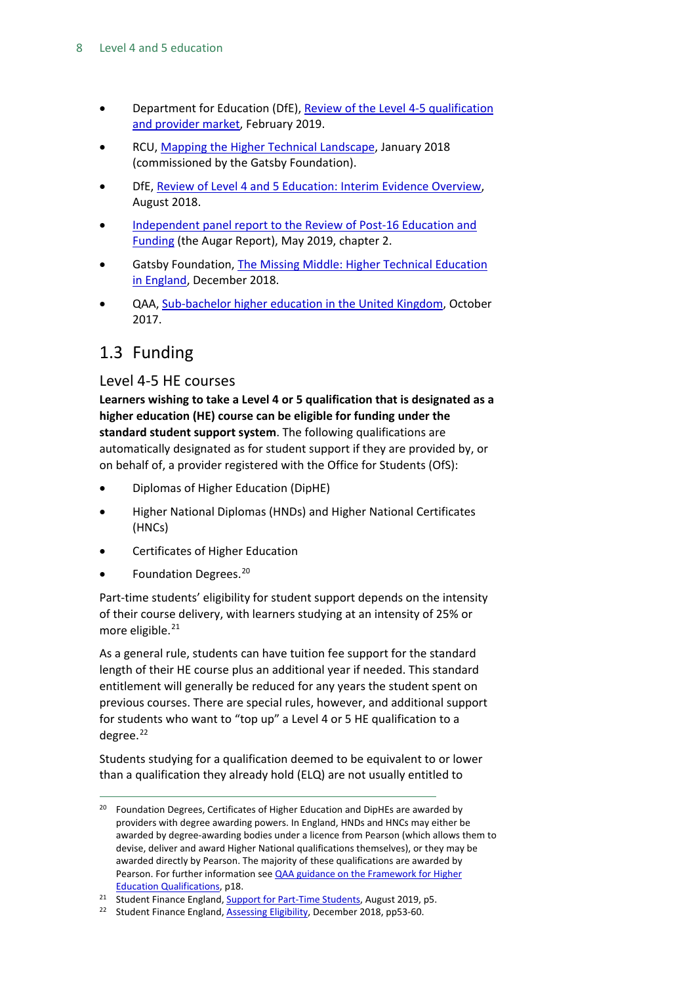- Department for Education (DfE), [Review of the Level 4-5 qualification](https://assets.publishing.service.gov.uk/government/uploads/system/uploads/attachment_data/file/782160/L4-5_market_study.pdf)  [and provider market,](https://assets.publishing.service.gov.uk/government/uploads/system/uploads/attachment_data/file/782160/L4-5_market_study.pdf) February 2019.
- RCU[, Mapping the Higher Technical Landscape,](http://www.gatsby.org.uk/uploads/education/reports/pdf/mapping-the-higher-technical-landscape-final-version.pdf) January 2018 (commissioned by the Gatsby Foundation).
- DfE, [Review of Level 4 and 5 Education: Interim Evidence Overview,](https://assets.publishing.service.gov.uk/government/uploads/system/uploads/attachment_data/file/733696/Review_of_Level_4_and_5_Education-Interim_Evidence_Overview.pdf) August 2018.
- [Independent panel report to the Review of Post-16 Education and](https://assets.publishing.service.gov.uk/government/uploads/system/uploads/attachment_data/file/805127/Review_of_post_18_education_and_funding.pdf)  [Funding](https://assets.publishing.service.gov.uk/government/uploads/system/uploads/attachment_data/file/805127/Review_of_post_18_education_and_funding.pdf) (the Augar Report), May 2019, chapter 2.
- Gatsby Foundation, [The Missing Middle: Higher Technical Education](https://www.gatsby.org.uk/uploads/education/the-missing-middle-higher-technical-education-in-england.pdf)  [in England,](https://www.gatsby.org.uk/uploads/education/the-missing-middle-higher-technical-education-in-england.pdf) December 2018.
- QAA, [Sub-bachelor higher education in the United Kingdom,](https://www.qaa.ac.uk/docs/qaa/about-us/sub-bachelor-higher-education-in-the-united-kingdom.pdf?sfvrsn=f0e9fe81_6) October 2017.

### <span id="page-7-0"></span>1.3 Funding

### <span id="page-7-1"></span>Level 4-5 HE courses

**Learners wishing to take a Level 4 or 5 qualification that is designated as a higher education (HE) course can be eligible for funding under the standard student support system**. The following qualifications are automatically designated as for student support if they are provided by, or on behalf of, a provider registered with the Office for Students (OfS):

- Diplomas of Higher Education (DipHE)
- Higher National Diplomas (HNDs) and Higher National Certificates (HNCs)
- Certificates of Higher Education
- Foundation Degrees.<sup>[20](#page-7-2)</sup>

Part-time students' eligibility for student support depends on the intensity of their course delivery, with learners studying at an intensity of 25% or more eligible.<sup>[21](#page-7-3)</sup>

As a general rule, students can have tuition fee support for the standard length of their HE course plus an additional year if needed. This standard entitlement will generally be reduced for any years the student spent on previous courses. There are special rules, however, and additional support for students who want to "top up" a Level 4 or 5 HE qualification to a degree. [22](#page-7-4)

Students studying for a qualification deemed to be equivalent to or lower than a qualification they already hold (ELQ) are not usually entitled to

<span id="page-7-2"></span><sup>&</sup>lt;sup>20</sup> Foundation Degrees, Certificates of Higher Education and DipHEs are awarded by providers with degree awarding powers. In England, HNDs and HNCs may either be awarded by degree-awarding bodies under a licence from Pearson (which allows them to devise, deliver and award Higher National qualifications themselves), or they may be awarded directly by Pearson. The majority of these qualifications are awarded by Pearson. For further information see **QAA guidance on the Framework for Higher** [Education Qualifications,](https://www.qaa.ac.uk/docs/qaa/quality-code/qualifications-frameworks.pdf?sfvrsn=170af781_16) p18.

<span id="page-7-3"></span><sup>&</sup>lt;sup>21</sup> Student Finance England, [Support for Part-Time Students,](https://www.practitioners.slc.co.uk/media/1728/support-for-pt-students-1920-england-v10.pdf) August 2019, p5.

<span id="page-7-4"></span><sup>&</sup>lt;sup>22</sup> Student Finance England, [Assessing Eligibility,](https://www.practitioners.slc.co.uk/media/1652/sfe-assessing-eligibility-guidance-ay-18-19.pdf) December 2018, pp53-60.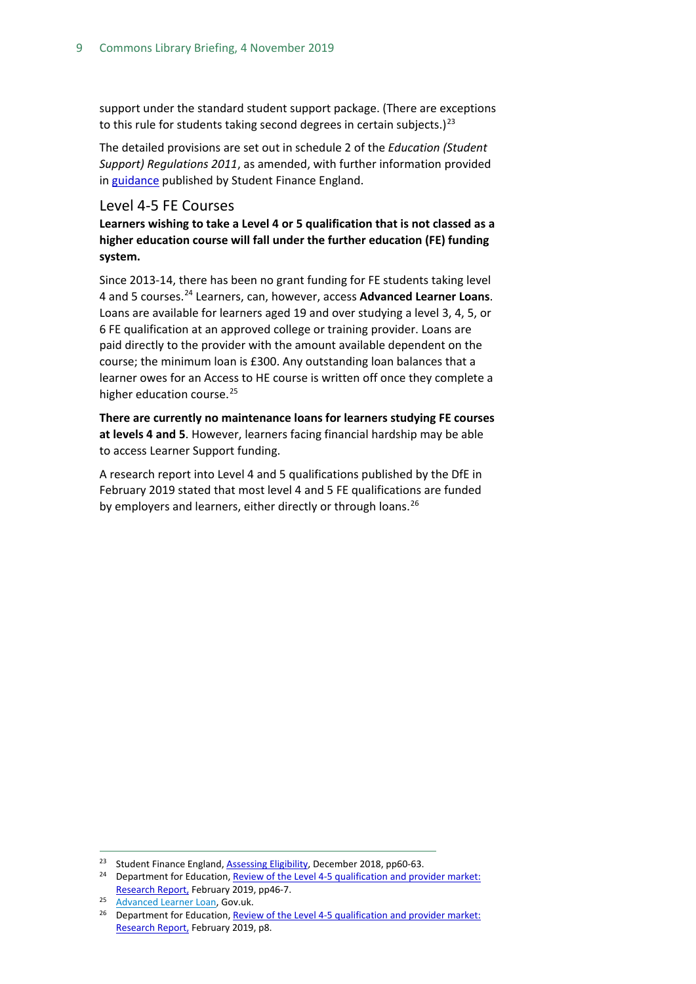support under the standard student support package. (There are exceptions to this rule for students taking second degrees in certain subjects.)<sup>[23](#page-8-1)</sup>

The detailed provisions are set out in schedule 2 of the *Education (Student Support) Regulations 2011*, as amended, with further information provided in [guidance](https://www.practitioners.slc.co.uk/media/1720/sfe-assessing-eligibility-guidance-ay-19-20-v20.pdf) published by Student Finance England.

#### <span id="page-8-0"></span>Level 4-5 FE Courses

**Learners wishing to take a Level 4 or 5 qualification that is not classed as a higher education course will fall under the further education (FE) funding system.**

Since 2013-14, there has been no grant funding for FE students taking level 4 and 5 courses.[24](#page-8-2) Learners, can, however, access **Advanced Learner Loans**. Loans are available for learners aged 19 and over studying a level 3, 4, 5, or 6 FE qualification at an approved college or training provider. Loans are paid directly to the provider with the amount available dependent on the course; the minimum loan is £300. Any outstanding loan balances that a learner owes for an Access to HE course is written off once they complete a higher education course.<sup>[25](#page-8-3)</sup>

**There are currently no maintenance loans for learners studying FE courses at levels 4 and 5**. However, learners facing financial hardship may be able to access Learner Support funding.

A research report into Level 4 and 5 qualifications published by the DfE in February 2019 stated that most level 4 and 5 FE qualifications are funded by employers and learners, either directly or through loans.<sup>[26](#page-8-4)</sup>

<span id="page-8-1"></span><sup>&</sup>lt;sup>23</sup> Student Finance England, [Assessing Eligibility,](https://www.practitioners.slc.co.uk/media/1652/sfe-assessing-eligibility-guidance-ay-18-19.pdf) December 2018, pp60-63.

<span id="page-8-2"></span><sup>&</sup>lt;sup>24</sup> Department for Education, Review of the Level 4-5 qualification and provider market: [Research Report,](https://assets.publishing.service.gov.uk/government/uploads/system/uploads/attachment_data/file/782160/L4-5_market_study.pdf) February 2019, pp46-7.

<span id="page-8-4"></span><span id="page-8-3"></span><sup>&</sup>lt;sup>25</sup> [Advanced Learner Loan,](https://www.gov.uk/advanced-learner-loan) Gov.uk.

<sup>&</sup>lt;sup>26</sup> Department for Education, Review of the Level 4-5 qualification and provider market: [Research Report,](https://assets.publishing.service.gov.uk/government/uploads/system/uploads/attachment_data/file/782160/L4-5_market_study.pdf) February 2019, p8.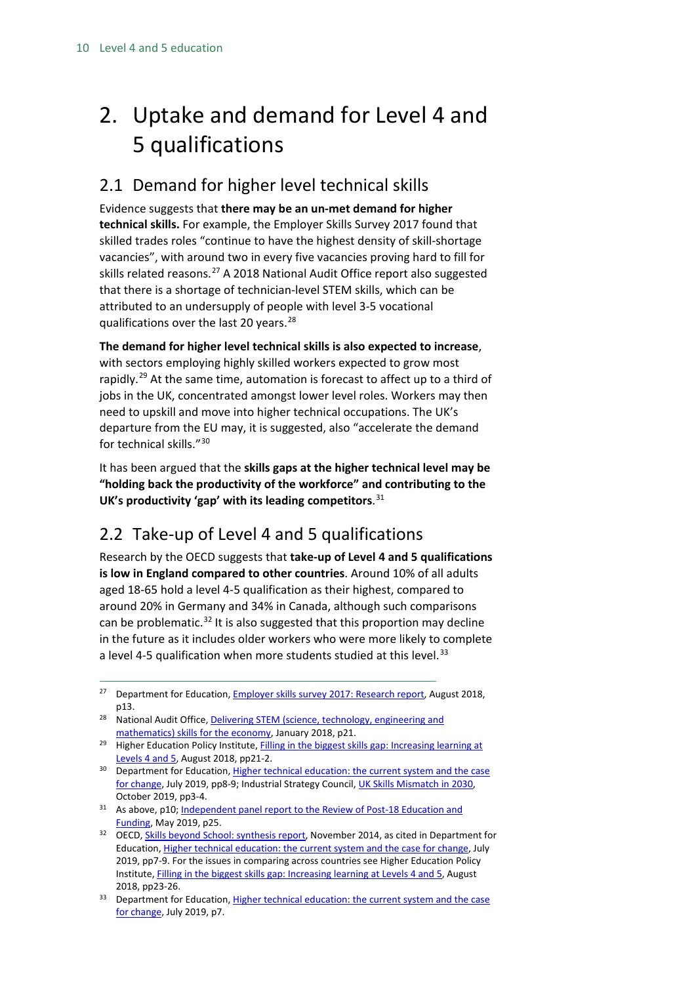# <span id="page-9-0"></span>2. Uptake and demand for Level 4 and 5 qualifications

### <span id="page-9-1"></span>2.1 Demand for higher level technical skills

Evidence suggests that **there may be an un-met demand for higher technical skills.** For example, the Employer Skills Survey 2017 found that skilled trades roles "continue to have the highest density of skill-shortage vacancies", with around two in every five vacancies proving hard to fill for skills related reasons.<sup>[27](#page-9-3)</sup> A 2018 National Audit Office report also suggested that there is a shortage of technician-level STEM skills, which can be attributed to an undersupply of people with level 3-5 vocational qualifications over the last 20 years.<sup>[28](#page-9-4)</sup>

**The demand for higher level technical skills is also expected to increase**, with sectors employing highly skilled workers expected to grow most rapidly.<sup>[29](#page-9-5)</sup> At the same time, automation is forecast to affect up to a third of jobs in the UK, concentrated amongst lower level roles. Workers may then need to upskill and move into higher technical occupations. The UK's departure from the EU may, it is suggested, also "accelerate the demand for technical skills."[30](#page-9-6)

It has been argued that the **skills gaps at the higher technical level may be "holding back the productivity of the workforce" and contributing to the UK's productivity 'gap' with its leading competitors**. [31](#page-9-7)

## <span id="page-9-2"></span>2.2 Take-up of Level 4 and 5 qualifications

Research by the OECD suggests that **take-up of Level 4 and 5 qualifications is low in England compared to other countries**. Around 10% of all adults aged 18-65 hold a level 4-5 qualification as their highest, compared to around 20% in Germany and 34% in Canada, although such comparisons can be problematic.<sup>[32](#page-9-8)</sup> It is also suggested that this proportion may decline in the future as it includes older workers who were more likely to complete a level 4-5 qualification when more students studied at this level.<sup>[33](#page-9-9)</sup>

- <span id="page-9-7"></span><sup>31</sup> As above, p10; Independent panel report to the Review of Post-18 Education and [Funding,](https://assets.publishing.service.gov.uk/government/uploads/system/uploads/attachment_data/file/805127/Review_of_post_18_education_and_funding.pdf) May 2019, p25.
- <span id="page-9-8"></span><sup>32</sup> OECD[, Skills beyond School: synthesis report,](https://www.oecd-ilibrary.org/docserver/9789264214682-en.pdf?expires=1571149472&id=id&accname=guest&checksum=CCE92F8C93CE0C78ED29B1804229B1FB) November 2014, as cited in Department for Education[, Higher technical education: the current system and the case for change,](https://assets.publishing.service.gov.uk/government/uploads/system/uploads/attachment_data/file/814938/Higher_technical_education_case_for_change.pdf) July 2019, pp7-9. For the issues in comparing across countries see Higher Education Policy Institute[, Filling in the biggest skills gap: Increasing learning at Levels 4 and 5,](https://www.hepi.ac.uk/wp-content/uploads/2018/08/EMBARGOED-UNTIL-23-AUGUST-2018-Filling-in-the-biggest-skills-gap-Report-110_Final-web.pdf) August 2018, pp23-26.
- <span id="page-9-9"></span><sup>33</sup> Department for Education, Higher technical education: the current system and the case [for change,](https://assets.publishing.service.gov.uk/government/uploads/system/uploads/attachment_data/file/814938/Higher_technical_education_case_for_change.pdf) July 2019, p7.

<span id="page-9-3"></span><sup>&</sup>lt;sup>27</sup> Department for Education, **Employer skills survey 2017: Research report**, August 2018, p13.

<span id="page-9-4"></span><sup>&</sup>lt;sup>28</sup> National Audit Office, Delivering STEM (science, technology, engineering and [mathematics\) skills for the economy,](https://www.nao.org.uk/wp-content/uploads/2018/01/Delivering-STEM-Science-technology-engineering-and-mathematics-skills-for-the-economy.pdf) January 2018, p21.

<span id="page-9-5"></span><sup>&</sup>lt;sup>29</sup> Higher Education Policy Institute, *Filling in the biggest skills gap: Increasing learning at* [Levels 4 and 5,](https://www.hepi.ac.uk/wp-content/uploads/2018/08/EMBARGOED-UNTIL-23-AUGUST-2018-Filling-in-the-biggest-skills-gap-Report-110_Final-web.pdf) August 2018, pp21-2.

<span id="page-9-6"></span><sup>&</sup>lt;sup>30</sup> Department for Education, Higher technical education: the current system and the case [for change,](https://assets.publishing.service.gov.uk/government/uploads/system/uploads/attachment_data/file/814938/Higher_technical_education_case_for_change.pdf) July 2019, pp8-9; Industrial Strategy Council, [UK Skills Mismatch in 2030,](https://industrialstrategycouncil.org/sites/default/files/UK%20Skills%20Mismatch%202030%20-%20Research%20Paper.pdf)  October 2019, pp3-4.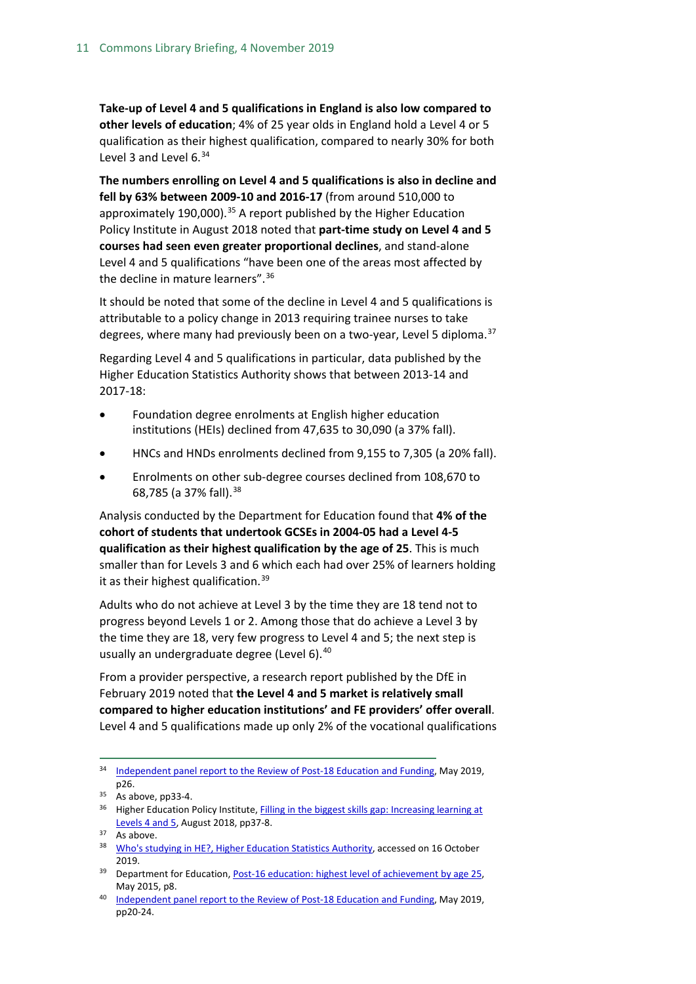**Take-up of Level 4 and 5 qualifications in England is also low compared to other levels of education**; 4% of 25 year olds in England hold a Level 4 or 5 qualification as their highest qualification, compared to nearly 30% for both Level 3 and Level  $6<sup>34</sup>$  $6<sup>34</sup>$  $6<sup>34</sup>$ 

**The numbers enrolling on Level 4 and 5 qualifications is also in decline and fell by 63% between 2009-10 and 2016-17** (from around 510,000 to approximately 190,000).<sup>[35](#page-10-1)</sup> A report published by the Higher Education Policy Institute in August 2018 noted that **part-time study on Level 4 and 5 courses had seen even greater proportional declines**, and stand-alone Level 4 and 5 qualifications "have been one of the areas most affected by the decline in mature learners".[36](#page-10-2)

It should be noted that some of the decline in Level 4 and 5 qualifications is attributable to a policy change in 2013 requiring trainee nurses to take degrees, where many had previously been on a two-year, Level 5 diploma.<sup>[37](#page-10-3)</sup>

Regarding Level 4 and 5 qualifications in particular, data published by the Higher Education Statistics Authority shows that between 2013-14 and 2017-18:

- Foundation degree enrolments at English higher education institutions (HEIs) declined from 47,635 to 30,090 (a 37% fall).
- HNCs and HNDs enrolments declined from 9,155 to 7,305 (a 20% fall).
- Enrolments on other sub-degree courses declined from 108,670 to 68,785 (a 37% fall). [38](#page-10-4)

Analysis conducted by the Department for Education found that **4% of the cohort of students that undertook GCSEs in 2004-05 had a Level 4-5 qualification as their highest qualification by the age of 25**. This is much smaller than for Levels 3 and 6 which each had over 25% of learners holding it as their highest qualification.  $39$ 

Adults who do not achieve at Level 3 by the time they are 18 tend not to progress beyond Levels 1 or 2. Among those that do achieve a Level 3 by the time they are 18, very few progress to Level 4 and 5; the next step is usually an undergraduate degree (Level 6).<sup>[40](#page-10-6)</sup>

From a provider perspective, a research report published by the DfE in February 2019 noted that **the Level 4 and 5 market is relatively small compared to higher education institutions' and FE providers' offer overall**. Level 4 and 5 qualifications made up only 2% of the vocational qualifications

<span id="page-10-0"></span><sup>&</sup>lt;sup>34</sup> [Independent panel report to the Review of Post-18 Education and Funding,](https://assets.publishing.service.gov.uk/government/uploads/system/uploads/attachment_data/file/805127/Review_of_post_18_education_and_funding.pdf) May 2019, p26.

<span id="page-10-1"></span><sup>&</sup>lt;sup>35</sup> As above, pp33-4.

<span id="page-10-2"></span><sup>&</sup>lt;sup>36</sup> Higher Education Policy Institute, *Filling in the biggest skills gap: Increasing learning at* [Levels 4 and 5,](https://www.hepi.ac.uk/wp-content/uploads/2018/08/EMBARGOED-UNTIL-23-AUGUST-2018-Filling-in-the-biggest-skills-gap-Report-110_Final-web.pdf) August 2018, pp37-8.

<span id="page-10-3"></span><sup>&</sup>lt;sup>37</sup> As above.

<span id="page-10-4"></span><sup>38</sup> [Who's studying in HE?, Higher Education Statistics Authority,](https://www.hesa.ac.uk/data-and-analysis/students/whos-in-he) accessed on 16 October 2019.

<span id="page-10-5"></span><sup>&</sup>lt;sup>39</sup> Department for Education[, Post-16 education: highest level of achievement by age 25,](https://assets.publishing.service.gov.uk/government/uploads/system/uploads/attachment_data/file/705269/Post_16_education_highest_level_of_achievement_by_age_25.pdf) May 2015, p8.

<span id="page-10-6"></span><sup>40</sup> [Independent panel report to the Review of Post-18 Education and Funding,](https://assets.publishing.service.gov.uk/government/uploads/system/uploads/attachment_data/file/805127/Review_of_post_18_education_and_funding.pdf) May 2019, pp20-24.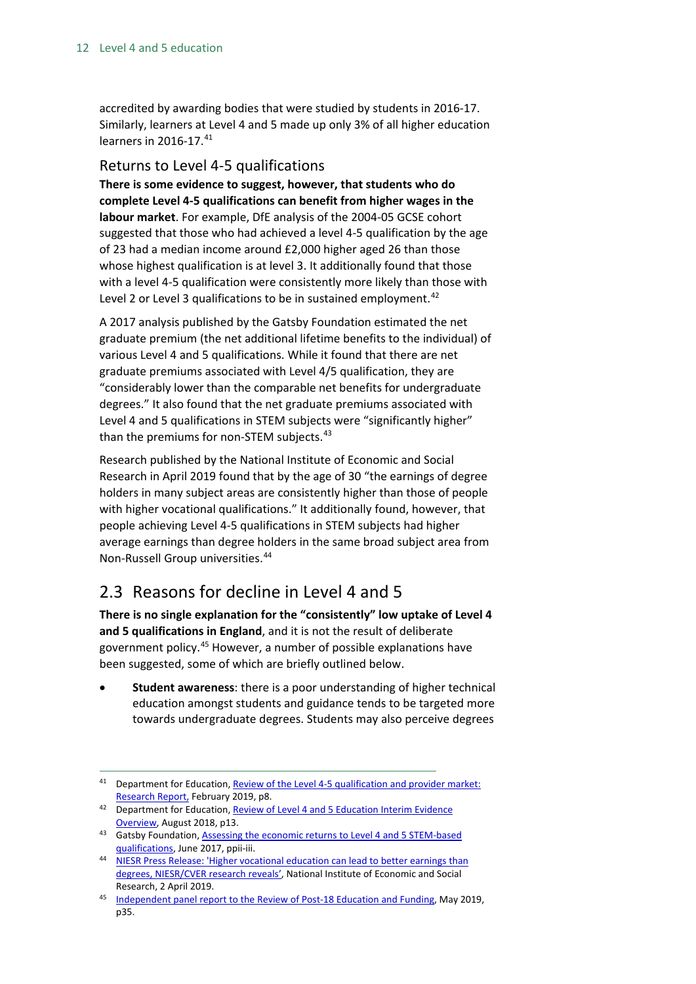accredited by awarding bodies that were studied by students in 2016-17. Similarly, learners at Level 4 and 5 made up only 3% of all higher education learners in 2016-17.<sup>[41](#page-11-2)</sup>

### <span id="page-11-0"></span>Returns to Level 4-5 qualifications

**There is some evidence to suggest, however, that students who do complete Level 4-5 qualifications can benefit from higher wages in the labour market**. For example, DfE analysis of the 2004-05 GCSE cohort suggested that those who had achieved a level 4-5 qualification by the age of 23 had a median income around £2,000 higher aged 26 than those whose highest qualification is at level 3. It additionally found that those with a level 4-5 qualification were consistently more likely than those with Level 2 or Level 3 qualifications to be in sustained employment.<sup>[42](#page-11-3)</sup>

A 2017 analysis published by the Gatsby Foundation estimated the net graduate premium (the net additional lifetime benefits to the individual) of various Level 4 and 5 qualifications. While it found that there are net graduate premiums associated with Level 4/5 qualification, they are "considerably lower than the comparable net benefits for undergraduate degrees." It also found that the net graduate premiums associated with Level 4 and 5 qualifications in STEM subjects were "significantly higher" than the premiums for non-STEM subjects.<sup>[43](#page-11-4)</sup>

Research published by the National Institute of Economic and Social Research in April 2019 found that by the age of 30 "the earnings of degree holders in many subject areas are consistently higher than those of people with higher vocational qualifications." It additionally found, however, that people achieving Level 4-5 qualifications in STEM subjects had higher average earnings than degree holders in the same broad subject area from Non-Russell Group universities.[44](#page-11-5)

### <span id="page-11-1"></span>2.3 Reasons for decline in Level 4 and 5

**There is no single explanation for the "consistently" low uptake of Level 4 and 5 qualifications in England**, and it is not the result of deliberate government policy. [45](#page-11-6) However, a number of possible explanations have been suggested, some of which are briefly outlined below.

• **Student awareness**: there is a poor understanding of higher technical education amongst students and guidance tends to be targeted more towards undergraduate degrees. Students may also perceive degrees

<span id="page-11-2"></span><sup>&</sup>lt;sup>41</sup> Department for Education, Review of the Level 4-5 qualification and provider market: [Research Report,](https://assets.publishing.service.gov.uk/government/uploads/system/uploads/attachment_data/file/782160/L4-5_market_study.pdf) February 2019, p8.

<span id="page-11-3"></span><sup>42</sup> Department for Education, Review of Level 4 and 5 Education Interim Evidence [Overview,](https://assets.publishing.service.gov.uk/government/uploads/system/uploads/attachment_data/file/733696/Review_of_Level_4_and_5_Education-Interim_Evidence_Overview.pdf) August 2018, p13.

<span id="page-11-4"></span><sup>43</sup> Gatsby Foundation, Assessing the economic returns to Level 4 and 5 STEM-based [qualifications,](https://www.gatsby.org.uk/uploads/education/reports/pdf/le-gatsby-assessing-the-economic-returns-to-level-4-and-5-stem-based-qualifications-final-07-06-2017.pdf) June 2017, ppii-iii.

<span id="page-11-5"></span><sup>44</sup> NIESR Press Release: 'Higher vocational education can lead to better earnings than [degrees, NIESR/CVER research reveals',](https://www.niesr.ac.uk/media/niesr-press-release-higher-vocational-education-can-lead-better-earnings-degrees-niesrcver) National Institute of Economic and Social Research, 2 April 2019.

<span id="page-11-6"></span><sup>45</sup> [Independent panel report to the Review of Post-18 Education and Funding,](https://assets.publishing.service.gov.uk/government/uploads/system/uploads/attachment_data/file/805127/Review_of_post_18_education_and_funding.pdf) May 2019, p35.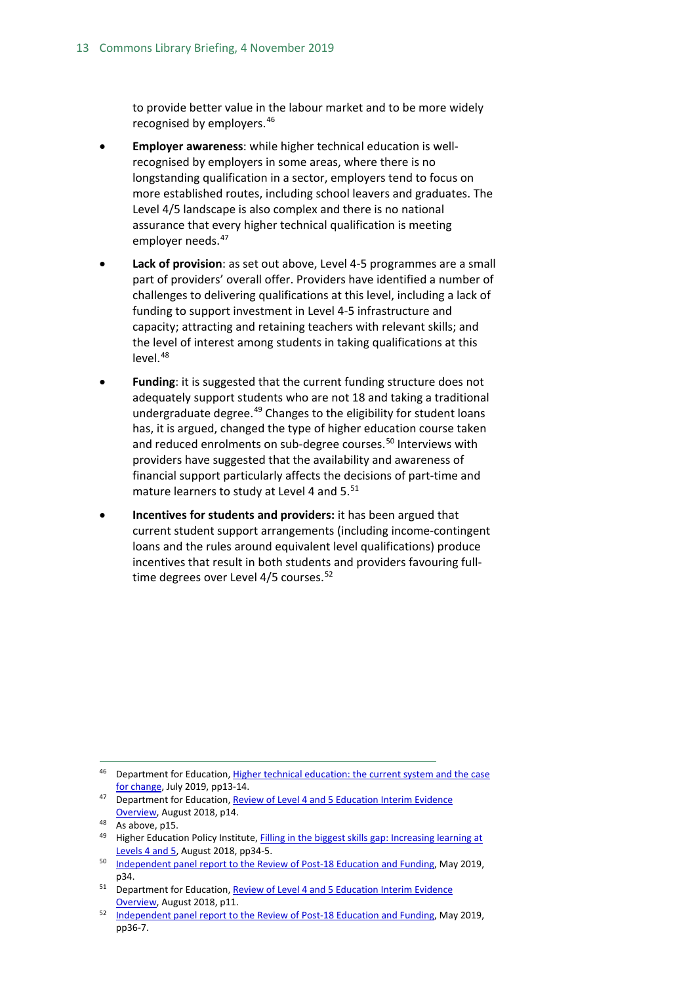to provide better value in the labour market and to be more widely recognised by employers. [46](#page-12-0)

- **Employer awareness**: while higher technical education is wellrecognised by employers in some areas, where there is no longstanding qualification in a sector, employers tend to focus on more established routes, including school leavers and graduates. The Level 4/5 landscape is also complex and there is no national assurance that every higher technical qualification is meeting employer needs.<sup>[47](#page-12-1)</sup>
- **Lack of provision**: as set out above, Level 4-5 programmes are a small part of providers' overall offer. Providers have identified a number of challenges to delivering qualifications at this level, including a lack of funding to support investment in Level 4-5 infrastructure and capacity; attracting and retaining teachers with relevant skills; and the level of interest among students in taking qualifications at this  $level.<sup>48</sup>$  $level.<sup>48</sup>$  $level.<sup>48</sup>$
- **Funding**: it is suggested that the current funding structure does not adequately support students who are not 18 and taking a traditional undergraduate degree.<sup>[49](#page-12-3)</sup> Changes to the eligibility for student loans has, it is argued, changed the type of higher education course taken and reduced enrolments on sub-degree courses.<sup>[50](#page-12-4)</sup> Interviews with providers have suggested that the availability and awareness of financial support particularly affects the decisions of part-time and mature learners to study at Level 4 and 5.<sup>[51](#page-12-5)</sup>
- **Incentives for students and providers:** it has been argued that current student support arrangements (including income-contingent loans and the rules around equivalent level qualifications) produce incentives that result in both students and providers favouring full-time degrees over Level 4/5 courses.<sup>[52](#page-12-6)</sup>

<span id="page-12-0"></span><sup>46</sup> Department for Education, Higher technical education: the current system and the case [for change,](https://assets.publishing.service.gov.uk/government/uploads/system/uploads/attachment_data/file/814938/Higher_technical_education_case_for_change.pdf) July 2019, pp13-14.

<span id="page-12-1"></span><sup>&</sup>lt;sup>47</sup> Department for Education, Review of Level 4 and 5 Education Interim Evidence [Overview,](https://assets.publishing.service.gov.uk/government/uploads/system/uploads/attachment_data/file/733696/Review_of_Level_4_and_5_Education-Interim_Evidence_Overview.pdf) August 2018, p14.

<span id="page-12-2"></span><sup>48</sup> As above, p15.

<span id="page-12-3"></span><sup>49</sup> Higher Education Policy Institute, Filling in the biggest skills gap: Increasing learning at [Levels 4 and 5,](https://www.hepi.ac.uk/wp-content/uploads/2018/08/EMBARGOED-UNTIL-23-AUGUST-2018-Filling-in-the-biggest-skills-gap-Report-110_Final-web.pdf) August 2018, pp34-5.

<span id="page-12-4"></span><sup>&</sup>lt;sup>50</sup> [Independent panel report to the Review of Post-18 Education and Funding,](https://assets.publishing.service.gov.uk/government/uploads/system/uploads/attachment_data/file/805127/Review_of_post_18_education_and_funding.pdf) May 2019, p34.

<span id="page-12-5"></span><sup>51</sup> Department for Education, Review of [Level 4 and 5 Education Interim Evidence](https://assets.publishing.service.gov.uk/government/uploads/system/uploads/attachment_data/file/733696/Review_of_Level_4_and_5_Education-Interim_Evidence_Overview.pdf)  [Overview,](https://assets.publishing.service.gov.uk/government/uploads/system/uploads/attachment_data/file/733696/Review_of_Level_4_and_5_Education-Interim_Evidence_Overview.pdf) August 2018, p11.

<span id="page-12-6"></span><sup>&</sup>lt;sup>52</sup> [Independent panel report to the Review of Post-18 Education and Funding,](https://assets.publishing.service.gov.uk/government/uploads/system/uploads/attachment_data/file/805127/Review_of_post_18_education_and_funding.pdf) May 2019, pp36-7.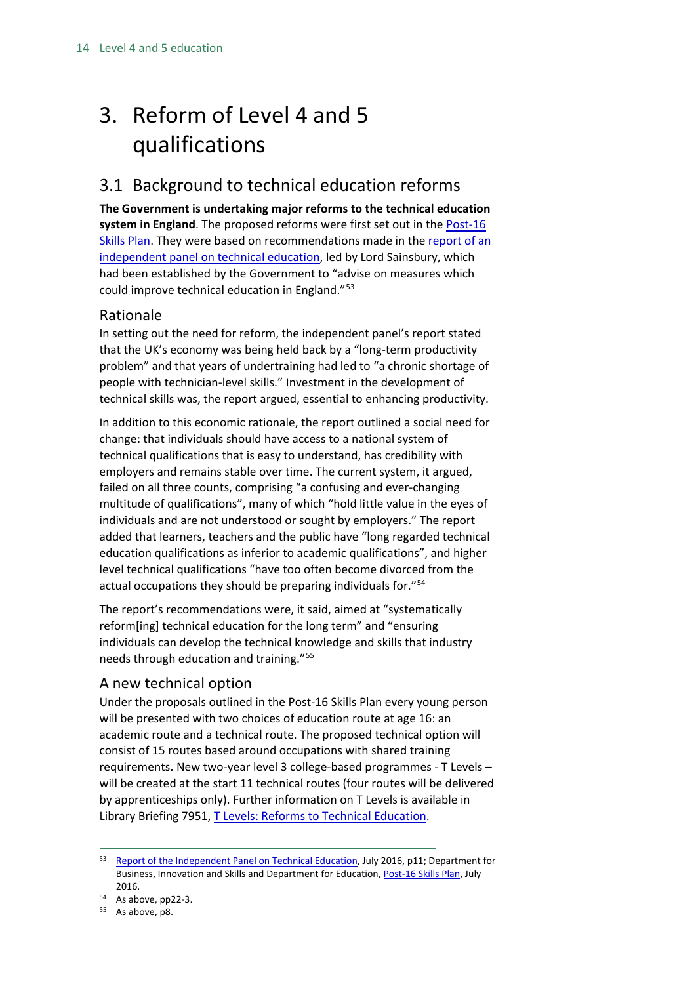# <span id="page-13-0"></span>3. Reform of Level 4 and 5 qualifications

### <span id="page-13-1"></span>3.1 Background to technical education reforms

**The Government is undertaking major reforms to the technical education system in England**. The proposed reforms were first set out in the [Post-16](https://www.gov.uk/government/uploads/system/uploads/attachment_data/file/536043/Post-16_Skills_Plan.pdf)  [Skills Plan.](https://www.gov.uk/government/uploads/system/uploads/attachment_data/file/536043/Post-16_Skills_Plan.pdf) They were based on recommendations made in th[e report of an](https://www.gov.uk/government/uploads/system/uploads/attachment_data/file/536046/Report_of_the_Independent_Panel_on_Technical_Education.pdf)  [independent panel on technical education,](https://www.gov.uk/government/uploads/system/uploads/attachment_data/file/536046/Report_of_the_Independent_Panel_on_Technical_Education.pdf) led by Lord Sainsbury, which had been established by the Government to "advise on measures which could improve technical education in England."<sup>[53](#page-13-4)</sup>

### <span id="page-13-2"></span>Rationale

In setting out the need for reform, the independent panel's report stated that the UK's economy was being held back by a "long-term productivity problem" and that years of undertraining had led to "a chronic shortage of people with technician-level skills." Investment in the development of technical skills was, the report argued, essential to enhancing productivity.

In addition to this economic rationale, the report outlined a social need for change: that individuals should have access to a national system of technical qualifications that is easy to understand, has credibility with employers and remains stable over time. The current system, it argued, failed on all three counts, comprising "a confusing and ever-changing multitude of qualifications", many of which "hold little value in the eyes of individuals and are not understood or sought by employers." The report added that learners, teachers and the public have "long regarded technical education qualifications as inferior to academic qualifications", and higher level technical qualifications "have too often become divorced from the actual occupations they should be preparing individuals for."[54](#page-13-5)

The report's recommendations were, it said, aimed at "systematically reform[ing] technical education for the long term" and "ensuring individuals can develop the technical knowledge and skills that industry needs through education and training."[55](#page-13-6)

### <span id="page-13-3"></span>A new technical option

Under the proposals outlined in the Post-16 Skills Plan every young person will be presented with two choices of education route at age 16: an academic route and a technical route. The proposed technical option will consist of 15 routes based around occupations with shared training requirements. New two-year level 3 college-based programmes - T Levels – will be created at the start 11 technical routes (four routes will be delivered by apprenticeships only). Further information on T Levels is available in Library Briefing 7951, [T Levels: Reforms to Technical Education.](https://researchbriefings.parliament.uk/ResearchBriefing/Summary/CBP-7951)

<span id="page-13-4"></span><sup>53</sup> [Report of the Independent Panel on Technical Education,](https://www.gov.uk/government/uploads/system/uploads/attachment_data/file/536046/Report_of_the_Independent_Panel_on_Technical_Education.pdf) July 2016, p11; Department for Business, Innovation and Skills and Department for Education[, Post-16 Skills Plan,](https://www.gov.uk/government/uploads/system/uploads/attachment_data/file/536043/Post-16_Skills_Plan.pdf) July

<sup>2016.&</sup>lt;br> $54$  As above, pp22-3.

<span id="page-13-6"></span><span id="page-13-5"></span><sup>55</sup> As above, p8.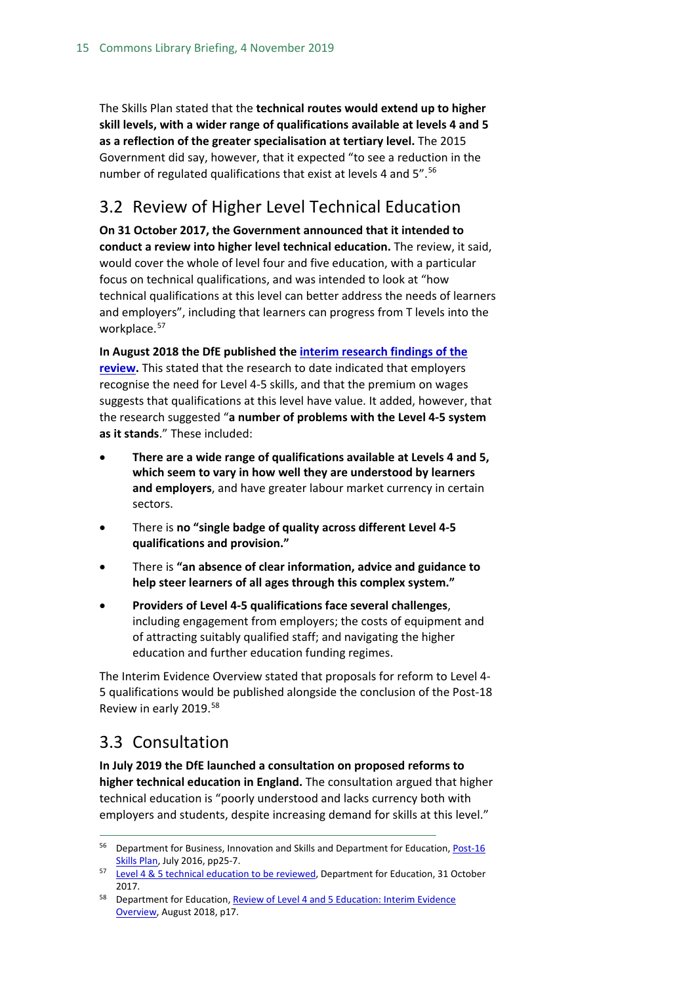The Skills Plan stated that the **technical routes would extend up to higher skill levels, with a wider range of qualifications available at levels 4 and 5 as a reflection of the greater specialisation at tertiary level.** The 2015 Government did say, however, that it expected "to see a reduction in the number of regulated qualifications that exist at levels 4 and 5".<sup>[56](#page-14-2)</sup>

### <span id="page-14-0"></span>3.2 Review of Higher Level Technical Education

**On 31 October 2017, the Government announced that it intended to conduct a review into higher level technical education.** The review, it said, would cover the whole of level four and five education, with a particular focus on technical qualifications, and was intended to look at "how technical qualifications at this level can better address the needs of learners and employers", including that learners can progress from T levels into the workplace.<sup>[57](#page-14-3)</sup>

**In August 2018 the DfE published th[e interim research findings of the](https://www.gov.uk/government/publications/review-of-level-4-and-5-education-interim-evidence-overview)  [review.](https://www.gov.uk/government/publications/review-of-level-4-and-5-education-interim-evidence-overview)** This stated that the research to date indicated that employers recognise the need for Level 4-5 skills, and that the premium on wages suggests that qualifications at this level have value. It added, however, that the research suggested "**a number of problems with the Level 4-5 system as it stands**." These included:

- **There are a wide range of qualifications available at Levels 4 and 5, which seem to vary in how well they are understood by learners and employers**, and have greater labour market currency in certain sectors.
- There is **no "single badge of quality across different Level 4-5 qualifications and provision."**
- There is **"an absence of clear information, advice and guidance to help steer learners of all ages through this complex system."**
- **Providers of Level 4-5 qualifications face several challenges**, including engagement from employers; the costs of equipment and of attracting suitably qualified staff; and navigating the higher education and further education funding regimes.

The Interim Evidence Overview stated that proposals for reform to Level 4- 5 qualifications would be published alongside the conclusion of the Post-18 Review in early 2019. [58](#page-14-4)

### <span id="page-14-1"></span>3.3 Consultation

**In July 2019 the DfE launched a consultation on proposed reforms to higher technical education in England.** The consultation argued that higher technical education is "poorly understood and lacks currency both with employers and students, despite increasing demand for skills at this level."

<span id="page-14-2"></span><sup>&</sup>lt;sup>56</sup> Department for Business, Innovation and Skills and Department for Education, Post-16 [Skills Plan,](https://www.gov.uk/government/uploads/system/uploads/attachment_data/file/536043/Post-16_Skills_Plan.pdf) July 2016, pp25-7.

<span id="page-14-3"></span>[Level 4 & 5 technical education to be reviewed,](https://www.gov.uk/government/news/level-4-5-technical-education-to-be-reviewed) Department for Education, 31 October 2017.

<span id="page-14-4"></span><sup>&</sup>lt;sup>58</sup> Department for Education, Review of Level 4 and 5 Education: Interim Evidence [Overview,](https://assets.publishing.service.gov.uk/government/uploads/system/uploads/attachment_data/file/733696/Review_of_Level_4_and_5_Education-Interim_Evidence_Overview.pdf) August 2018, p17.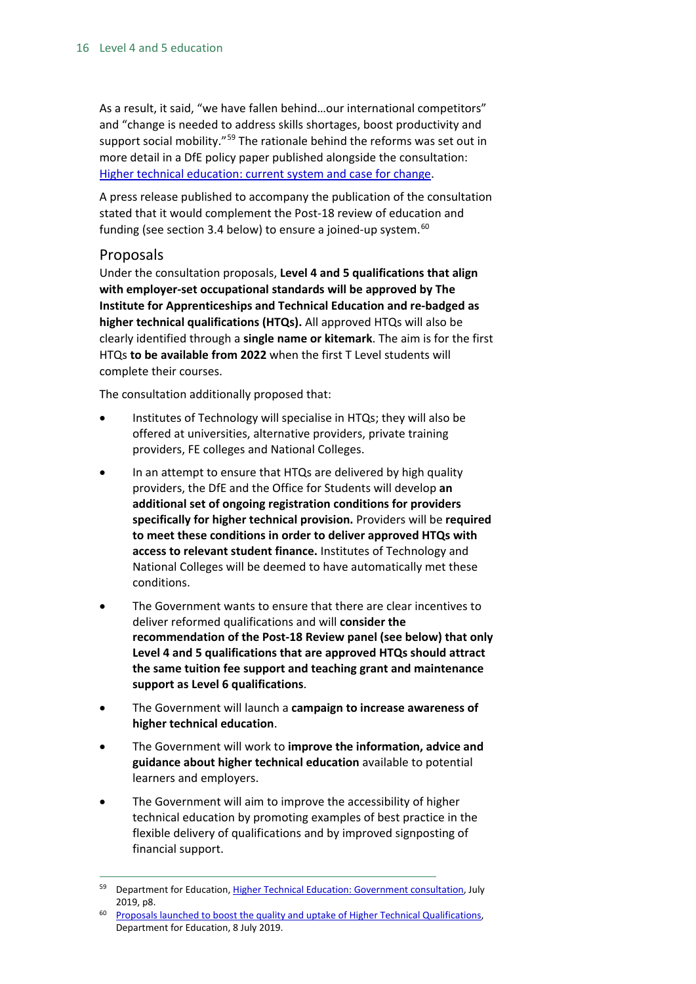As a result, it said, "we have fallen behind…our international competitors" and "change is needed to address skills shortages, boost productivity and support social mobility."<sup>[59](#page-15-1)</sup> The rationale behind the reforms was set out in more detail in a DfE policy paper published alongside the consultation: [Higher technical education: current system and case for change.](https://www.gov.uk/government/publications/higher-technical-education-current-system-and-case-for-change)

A press release published to accompany the publication of the consultation stated that it would complement the Post-18 review of education and funding (see section 3.4 below) to ensure a joined-up system.<sup>[60](#page-15-2)</sup>

#### <span id="page-15-0"></span>Proposals

Under the consultation proposals, **Level 4 and 5 qualifications that align with employer-set occupational standards will be approved by The Institute for Apprenticeships and Technical Education and re-badged as higher technical qualifications (HTQs).** All approved HTQs will also be clearly identified through a **single name or kitemark**. The aim is for the first HTQs **to be available from 2022** when the first T Level students will complete their courses.

The consultation additionally proposed that:

- Institutes of Technology will specialise in HTQs; they will also be offered at universities, alternative providers, private training providers, FE colleges and National Colleges.
- In an attempt to ensure that HTQs are delivered by high quality providers, the DfE and the Office for Students will develop **an additional set of ongoing registration conditions for providers specifically for higher technical provision.** Providers will be **required to meet these conditions in order to deliver approved HTQs with access to relevant student finance.** Institutes of Technology and National Colleges will be deemed to have automatically met these conditions.
- The Government wants to ensure that there are clear incentives to deliver reformed qualifications and will **consider the recommendation of the Post-18 Review panel (see below) that only Level 4 and 5 qualifications that are approved HTQs should attract the same tuition fee support and teaching grant and maintenance support as Level 6 qualifications**.
- The Government will launch a **campaign to increase awareness of higher technical education**.
- The Government will work to **improve the information, advice and guidance about higher technical education** available to potential learners and employers.
- The Government will aim to improve the accessibility of higher technical education by promoting examples of best practice in the flexible delivery of qualifications and by improved signposting of financial support.

<span id="page-15-1"></span><sup>&</sup>lt;sup>59</sup> Department for Education[, Higher Technical Education: Government consultation,](https://consult.education.gov.uk/higher-technical-level-4-5-review-team/higher-technical-education/supporting_documents/Improving_higher_technical_education%20pdf.pdf) July 2019, p8.

<span id="page-15-2"></span><sup>60</sup> [Proposals launched to boost the quality and uptake of Higher Technical Qualifications,](https://www.gov.uk/government/news/proposals-launched-to-boost-the-quality-and-uptake-of-higher-technical-qualifications) Department for Education, 8 July 2019.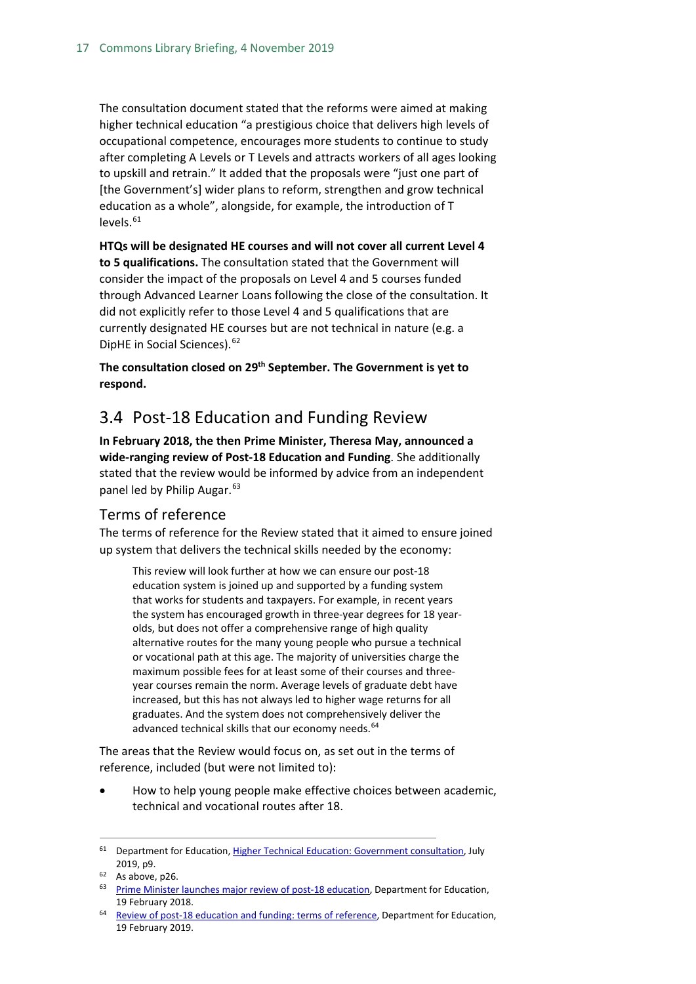The consultation document stated that the reforms were aimed at making higher technical education "a prestigious choice that delivers high levels of occupational competence, encourages more students to continue to study after completing A Levels or T Levels and attracts workers of all ages looking to upskill and retrain." It added that the proposals were "just one part of [the Government's] wider plans to reform, strengthen and grow technical education as a whole", alongside, for example, the introduction of T  $levels.<sup>61</sup>$  $levels.<sup>61</sup>$  $levels.<sup>61</sup>$ 

**HTQs will be designated HE courses and will not cover all current Level 4 to 5 qualifications.** The consultation stated that the Government will consider the impact of the proposals on Level 4 and 5 courses funded through Advanced Learner Loans following the close of the consultation. It did not explicitly refer to those Level 4 and 5 qualifications that are currently designated HE courses but are not technical in nature (e.g. a DipHE in Social Sciences).<sup>[62](#page-16-3)</sup>

**The consultation closed on 29th September. The Government is yet to respond.** 

### <span id="page-16-0"></span>3.4 Post-18 Education and Funding Review

**In February 2018, the then Prime Minister, Theresa May, announced a wide-ranging review of Post-18 Education and Funding**. She additionally stated that the review would be informed by advice from an independent panel led by Philip Augar.<sup>[63](#page-16-4)</sup>

### <span id="page-16-1"></span>Terms of reference

The terms of reference for the Review stated that it aimed to ensure joined up system that delivers the technical skills needed by the economy:

This review will look further at how we can ensure our post-18 education system is joined up and supported by a funding system that works for students and taxpayers. For example, in recent years the system has encouraged growth in three-year degrees for 18 yearolds, but does not offer a comprehensive range of high quality alternative routes for the many young people who pursue a technical or vocational path at this age. The majority of universities charge the maximum possible fees for at least some of their courses and threeyear courses remain the norm. Average levels of graduate debt have increased, but this has not always led to higher wage returns for all graduates. And the system does not comprehensively deliver the advanced technical skills that our economy needs.<sup>[64](#page-16-5)</sup>

The areas that the Review would focus on, as set out in the terms of reference, included (but were not limited to):

• How to help young people make effective choices between academic, technical and vocational routes after 18.

<span id="page-16-2"></span><sup>&</sup>lt;sup>61</sup> Department for Education[, Higher Technical Education: Government consultation,](https://consult.education.gov.uk/higher-technical-level-4-5-review-team/higher-technical-education/supporting_documents/Improving_higher_technical_education%20pdf.pdf) July 2019, p9.

<span id="page-16-3"></span> $62$  As above, p26.

<span id="page-16-4"></span><sup>&</sup>lt;sup>63</sup> [Prime Minister launches major review of post-18 education,](https://www.gov.uk/government/news/prime-minister-launches-major-review-of-post-18-education) Department for Education, 19 February 2018.

<span id="page-16-5"></span><sup>&</sup>lt;sup>64</sup> [Review of post-18 education and funding: terms of reference,](https://www.gov.uk/government/publications/review-of-post-18-education-and-funding-terms-of-reference) Department for Education, 19 February 2019.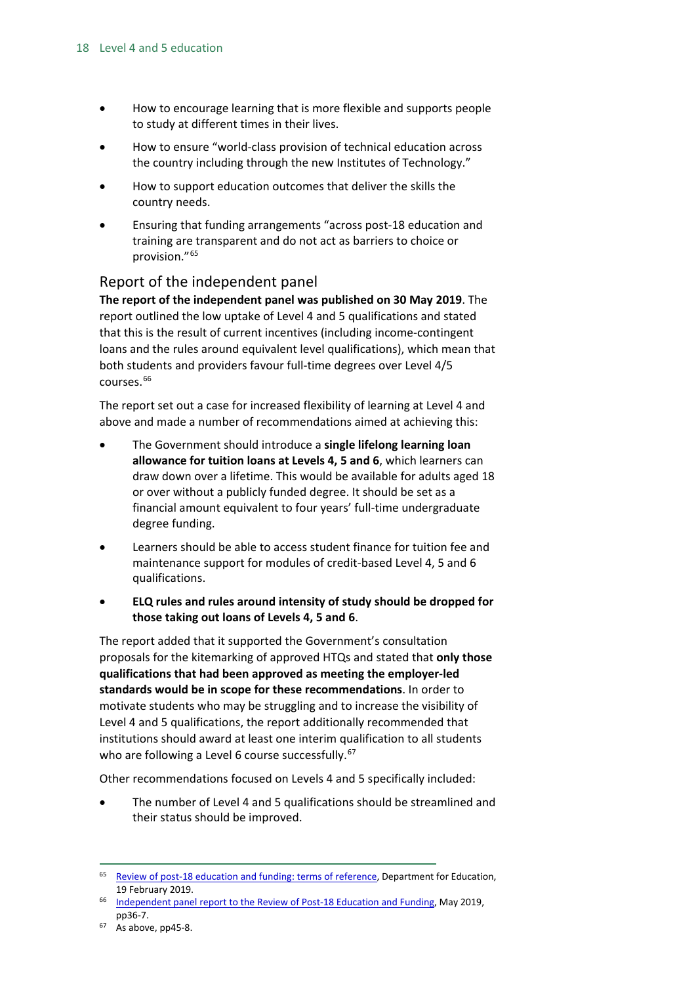- How to encourage learning that is more flexible and supports people to study at different times in their lives.
- How to ensure "world-class provision of technical education across the country including through the new Institutes of Technology."
- How to support education outcomes that deliver the skills the country needs.
- Ensuring that funding arrangements "across post-18 education and training are transparent and do not act as barriers to choice or provision."[65](#page-17-1)

### <span id="page-17-0"></span>Report of the independent panel

**The report of the independent panel was published on 30 May 2019**. The report outlined the low uptake of Level 4 and 5 qualifications and stated that this is the result of current incentives (including income-contingent loans and the rules around equivalent level qualifications), which mean that both students and providers favour full-time degrees over Level 4/5 courses. [66](#page-17-2)

The report set out a case for increased flexibility of learning at Level 4 and above and made a number of recommendations aimed at achieving this:

- The Government should introduce a **single lifelong learning loan allowance for tuition loans at Levels 4, 5 and 6**, which learners can draw down over a lifetime. This would be available for adults aged 18 or over without a publicly funded degree. It should be set as a financial amount equivalent to four years' full-time undergraduate degree funding.
- Learners should be able to access student finance for tuition fee and maintenance support for modules of credit-based Level 4, 5 and 6 qualifications.
- **ELQ rules and rules around intensity of study should be dropped for those taking out loans of Levels 4, 5 and 6**.

The report added that it supported the Government's consultation proposals for the kitemarking of approved HTQs and stated that **only those qualifications that had been approved as meeting the employer-led standards would be in scope for these recommendations**. In order to motivate students who may be struggling and to increase the visibility of Level 4 and 5 qualifications, the report additionally recommended that institutions should award at least one interim qualification to all students who are following a Level 6 course successfully.<sup>[67](#page-17-3)</sup>

Other recommendations focused on Levels 4 and 5 specifically included:

• The number of Level 4 and 5 qualifications should be streamlined and their status should be improved.

<span id="page-17-1"></span> <sup>65</sup> [Review of post-18 education and funding: terms of reference,](https://www.gov.uk/government/publications/review-of-post-18-education-and-funding-terms-of-reference) Department for Education, 19 February 2019.

<span id="page-17-2"></span><sup>&</sup>lt;sup>66</sup> [Independent panel report to the Review of Post-18 Education and Funding,](https://assets.publishing.service.gov.uk/government/uploads/system/uploads/attachment_data/file/805127/Review_of_post_18_education_and_funding.pdf) May 2019, pp36-7.

<span id="page-17-3"></span>As above, pp45-8.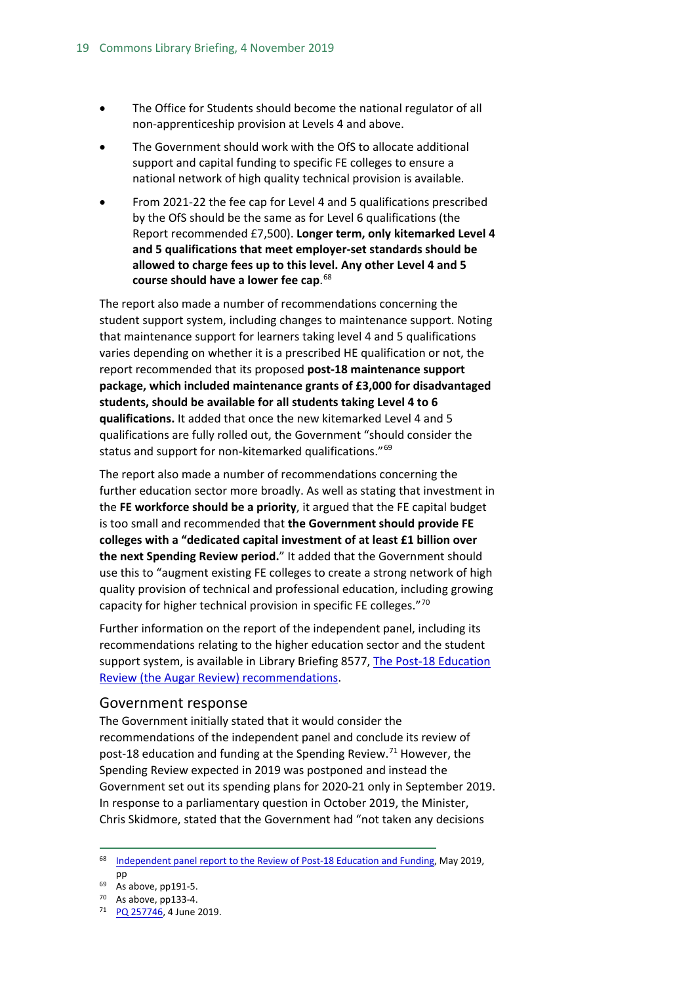- The Office for Students should become the national regulator of all non-apprenticeship provision at Levels 4 and above.
- The Government should work with the OfS to allocate additional support and capital funding to specific FE colleges to ensure a national network of high quality technical provision is available.
- From 2021-22 the fee cap for Level 4 and 5 qualifications prescribed by the OfS should be the same as for Level 6 qualifications (the Report recommended £7,500). **Longer term, only kitemarked Level 4 and 5 qualifications that meet employer-set standards should be allowed to charge fees up to this level. Any other Level 4 and 5 course should have a lower fee cap**. [68](#page-18-1)

The report also made a number of recommendations concerning the student support system, including changes to maintenance support. Noting that maintenance support for learners taking level 4 and 5 qualifications varies depending on whether it is a prescribed HE qualification or not, the report recommended that its proposed **post-18 maintenance support package, which included maintenance grants of £3,000 for disadvantaged students, should be available for all students taking Level 4 to 6 qualifications.** It added that once the new kitemarked Level 4 and 5 qualifications are fully rolled out, the Government "should consider the status and support for non-kitemarked qualifications."<sup>[69](#page-18-2)</sup>

The report also made a number of recommendations concerning the further education sector more broadly. As well as stating that investment in the **FE workforce should be a priority**, it argued that the FE capital budget is too small and recommended that **the Government should provide FE colleges with a "dedicated capital investment of at least £1 billion over the next Spending Review period.**" It added that the Government should use this to "augment existing FE colleges to create a strong network of high quality provision of technical and professional education, including growing capacity for higher technical provision in specific FE colleges."[70](#page-18-3)

Further information on the report of the independent panel, including its recommendations relating to the higher education sector and the student support system, is available in Library Briefing 8577, [The Post-18 Education](https://researchbriefings.parliament.uk/ResearchBriefing/Summary/CBP-8577#fullreport)  [Review \(the Augar Review\) recommendations.](https://researchbriefings.parliament.uk/ResearchBriefing/Summary/CBP-8577#fullreport)

#### <span id="page-18-0"></span>Government response

The Government initially stated that it would consider the recommendations of the independent panel and conclude its review of post-18 education and funding at the Spending Review.<sup>[71](#page-18-4)</sup> However, the Spending Review expected in 2019 was postponed and instead the Government set out its spending plans for 2020-21 only in September 2019. In response to a parliamentary question in October 2019, the Minister, Chris Skidmore, stated that the Government had "not taken any decisions

<span id="page-18-1"></span><sup>&</sup>lt;sup>68</sup> [Independent panel report to the Review of Post-18 Education and Funding,](https://assets.publishing.service.gov.uk/government/uploads/system/uploads/attachment_data/file/805127/Review_of_post_18_education_and_funding.pdf) May 2019, pp

<span id="page-18-2"></span><sup>69</sup> As above, pp191-5.

<span id="page-18-3"></span><sup>70</sup> As above, pp133-4.

<span id="page-18-4"></span><sup>71</sup> [PQ 257746,](https://www.parliament.uk/written-questions-answers-statements/written-question/commons/2019-05-23/257746) 4 June 2019.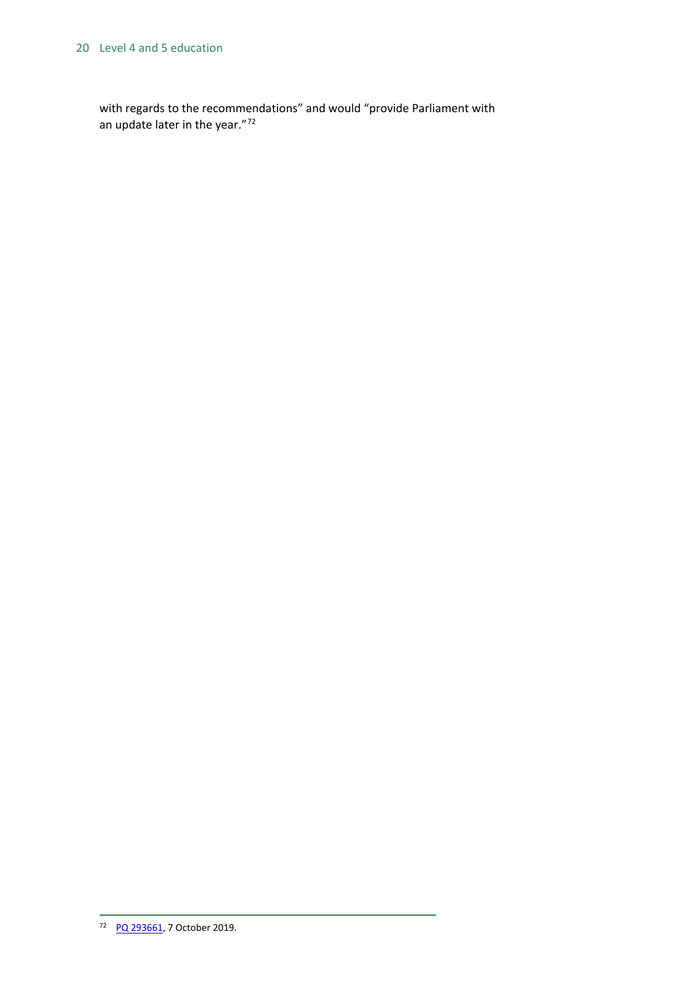#### 20 Level 4 and 5 education

<span id="page-19-0"></span>with regards to the recommendations" and would "provide Parliament with an update later in the year."[72](#page-19-0)